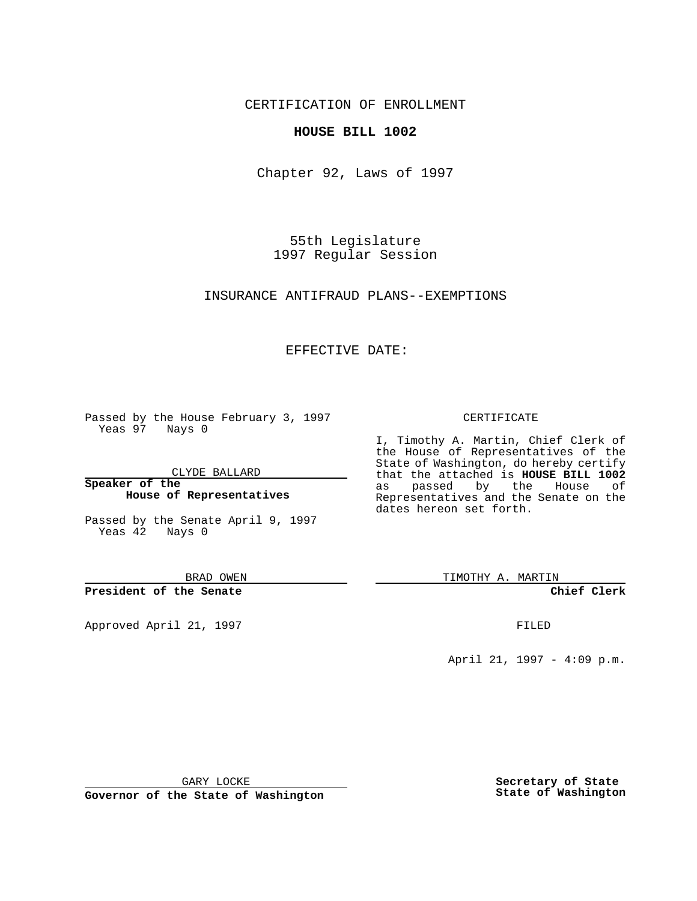CERTIFICATION OF ENROLLMENT

## **HOUSE BILL 1002**

Chapter 92, Laws of 1997

55th Legislature 1997 Regular Session

INSURANCE ANTIFRAUD PLANS--EXEMPTIONS

## EFFECTIVE DATE:

Passed by the House February 3, 1997 Yeas 97 Nays 0

CLYDE BALLARD

**Speaker of the House of Representatives**

Passed by the Senate April 9, 1997 Yeas 42 Nays 0

BRAD OWEN

**President of the Senate**

Approved April 21, 1997 **FILED** 

## CERTIFICATE

I, Timothy A. Martin, Chief Clerk of the House of Representatives of the State of Washington, do hereby certify that the attached is **HOUSE BILL 1002** as passed by the House of Representatives and the Senate on the dates hereon set forth.

TIMOTHY A. MARTIN

**Chief Clerk**

April 21, 1997 - 4:09 p.m.

GARY LOCKE

**Governor of the State of Washington**

**Secretary of State State of Washington**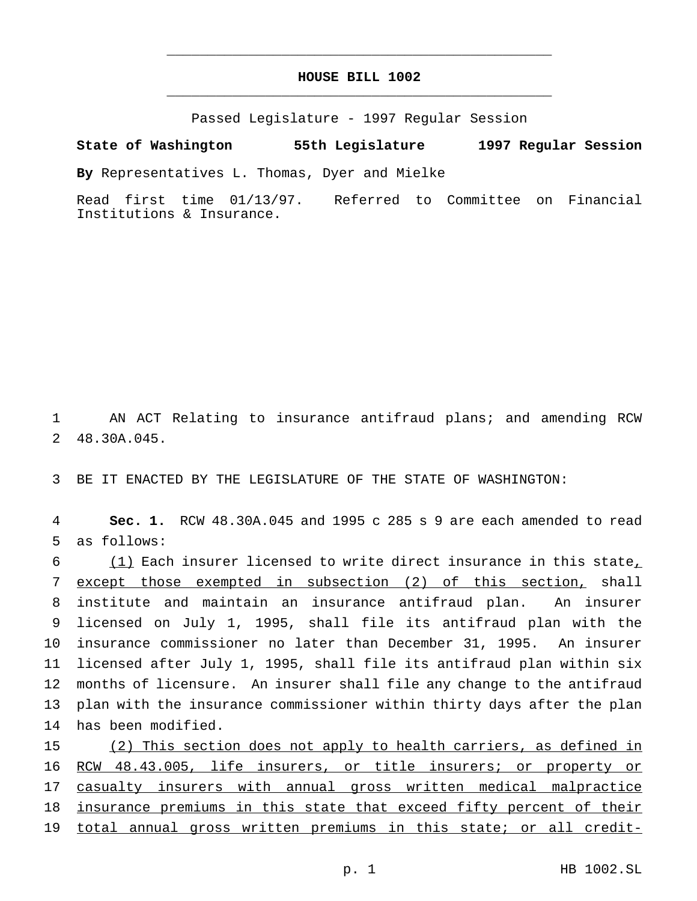## **HOUSE BILL 1002** \_\_\_\_\_\_\_\_\_\_\_\_\_\_\_\_\_\_\_\_\_\_\_\_\_\_\_\_\_\_\_\_\_\_\_\_\_\_\_\_\_\_\_\_\_\_\_

\_\_\_\_\_\_\_\_\_\_\_\_\_\_\_\_\_\_\_\_\_\_\_\_\_\_\_\_\_\_\_\_\_\_\_\_\_\_\_\_\_\_\_\_\_\_\_

Passed Legislature - 1997 Regular Session

**State of Washington 55th Legislature 1997 Regular Session**

**By** Representatives L. Thomas, Dyer and Mielke

Read first time 01/13/97. Referred to Committee on Financial Institutions & Insurance.

1 AN ACT Relating to insurance antifraud plans; and amending RCW 2 48.30A.045.

3 BE IT ENACTED BY THE LEGISLATURE OF THE STATE OF WASHINGTON:

4 **Sec. 1.** RCW 48.30A.045 and 1995 c 285 s 9 are each amended to read 5 as follows:

6 (1) Each insurer licensed to write direct insurance in this state, except those exempted in subsection (2) of this section, shall institute and maintain an insurance antifraud plan. An insurer licensed on July 1, 1995, shall file its antifraud plan with the insurance commissioner no later than December 31, 1995. An insurer licensed after July 1, 1995, shall file its antifraud plan within six months of licensure. An insurer shall file any change to the antifraud plan with the insurance commissioner within thirty days after the plan has been modified.

15 (2) This section does not apply to health carriers, as defined in 16 RCW 48.43.005, life insurers, or title insurers; or property or 17 casualty insurers with annual gross written medical malpractice 18 insurance premiums in this state that exceed fifty percent of their 19 total annual gross written premiums in this state; or all credit-